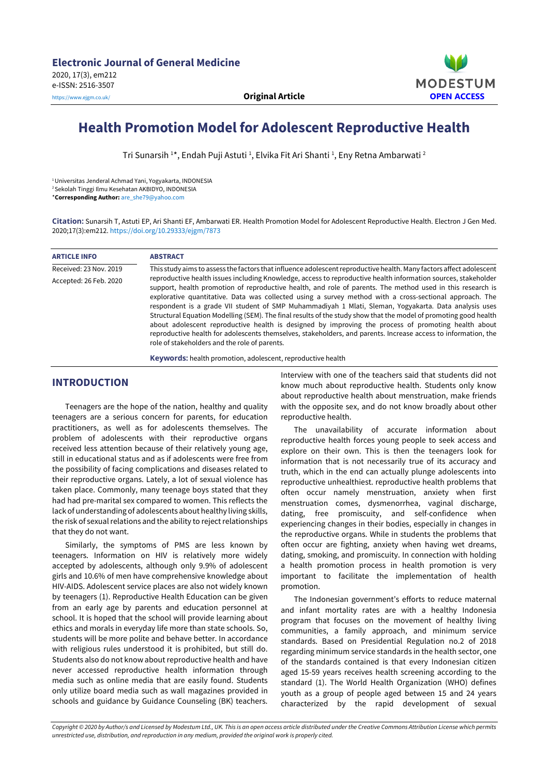

# **Health Promotion Model for Adolescent Reproductive Health**

Tri Sunarsih <sup>1</sup>\*, Endah Puji Astuti <sup>1</sup>, Elvika Fit Ari Shanti <sup>1</sup>, Eny Retna Ambarwati <sup>2</sup>

<sup>1</sup>Universitas Jenderal Achmad Yani, Yogyakarta, INDONESIA

<sup>2</sup>Sekolah Tinggi Ilmu Kesehatan AKBIDYO, INDONESIA

\***Corresponding Author:** [are\\_she79@yahoo.com](file:///C:/Users/Mustafa/Google%20Drive/makaledizgi/EURASIA/00%20Duzenleniyor/EJGM%20-%209%20Articles%20(from%20Esfehani)/EJGM%20-%20Sunarsih%20et%20al/are_she79@yahoo.com)

**Citation:** Sunarsih T, Astuti EP, Ari Shanti EF, Ambarwati ER. Health Promotion Model for Adolescent Reproductive Health. Electron J Gen Med. 2020;17(3):em212. <https://doi.org/10.29333/ejgm/7873>

| <b>ARTICLE INFO</b>    | <b>ABSTRACT</b>                                                                                                                                                                                                                                                                                                                                                                                                                                                                                                                                                                                                                                                                                                                                                                                                                                |  |  |
|------------------------|------------------------------------------------------------------------------------------------------------------------------------------------------------------------------------------------------------------------------------------------------------------------------------------------------------------------------------------------------------------------------------------------------------------------------------------------------------------------------------------------------------------------------------------------------------------------------------------------------------------------------------------------------------------------------------------------------------------------------------------------------------------------------------------------------------------------------------------------|--|--|
| Received: 23 Nov. 2019 | This study aims to assess the factors that influence adolescent reproductive health. Many factors affect adolescent                                                                                                                                                                                                                                                                                                                                                                                                                                                                                                                                                                                                                                                                                                                            |  |  |
| Accepted: 26 Feb. 2020 | reproductive health issues including Knowledge, access to reproductive health information sources, stakeholder<br>support, health promotion of reproductive health, and role of parents. The method used in this research is<br>explorative quantitative. Data was collected using a survey method with a cross-sectional approach. The<br>respondent is a grade VII student of SMP Muhammadiyah 1 Mlati, Sleman, Yogyakarta. Data analysis uses<br>Structural Equation Modelling (SEM). The final results of the study show that the model of promoting good health<br>about adolescent reproductive health is designed by improving the process of promoting health about<br>reproductive health for adolescents themselves, stakeholders, and parents. Increase access to information, the<br>role of stakeholders and the role of parents. |  |  |

**Keywords:** health promotion, adolescent, reproductive health

## **INTRODUCTION**

Teenagers are the hope of the nation, healthy and quality teenagers are a serious concern for parents, for education practitioners, as well as for adolescents themselves. The problem of adolescents with their reproductive organs received less attention because of their relatively young age, still in educational status and as if adolescents were free from the possibility of facing complications and diseases related to their reproductive organs. Lately, a lot of sexual violence has taken place. Commonly, many teenage boys stated that they had had pre-marital sex compared to women. This reflects the lack of understanding of adolescents about healthy living skills, the risk of sexual relations and the ability to reject relationships that they do not want.

Similarly, the symptoms of PMS are less known by teenagers. Information on HIV is relatively more widely accepted by adolescents, although only 9.9% of adolescent girls and 10.6% of men have comprehensive knowledge about HIV-AIDS. Adolescent service places are also not widely known by teenagers (1). Reproductive Health Education can be given from an early age by parents and education personnel at school. It is hoped that the school will provide learning about ethics and morals in everyday life more than state schools. So, students will be more polite and behave better. In accordance with religious rules understood it is prohibited, but still do. Students also do not know about reproductive health and have never accessed reproductive health information through media such as online media that are easily found. Students only utilize board media such as wall magazines provided in schools and guidance by Guidance Counseling (BK) teachers.

Interview with one of the teachers said that students did not know much about reproductive health. Students only know about reproductive health about menstruation, make friends with the opposite sex, and do not know broadly about other reproductive health.

The unavailability of accurate information about reproductive health forces young people to seek access and explore on their own. This is then the teenagers look for information that is not necessarily true of its accuracy and truth, which in the end can actually plunge adolescents into reproductive unhealthiest. reproductive health problems that often occur namely menstruation, anxiety when first menstruation comes, dysmenorrhea, vaginal discharge, dating, free promiscuity, and self-confidence when experiencing changes in their bodies, especially in changes in the reproductive organs. While in students the problems that often occur are fighting, anxiety when having wet dreams, dating, smoking, and promiscuity. In connection with holding a health promotion process in health promotion is very important to facilitate the implementation of health promotion.

The Indonesian government's efforts to reduce maternal and infant mortality rates are with a healthy Indonesia program that focuses on the movement of healthy living communities, a family approach, and minimum service standards. Based on Presidential Regulation no.2 of 2018 regarding minimum service standards in the health sector, one of the standards contained is that every Indonesian citizen aged 15-59 years receives health screening according to the standard (1). The World Health Organization (WHO) defines youth as a group of people aged between 15 and 24 years characterized by the rapid development of sexual

Copyright © 2020 by Author/s and Licensed by Modestum Ltd., UK. This is an open access article distributed under the Creative Commons Attribution License which permits *unrestricted use, distribution, and reproduction in any medium, provided the original work is properly cited.*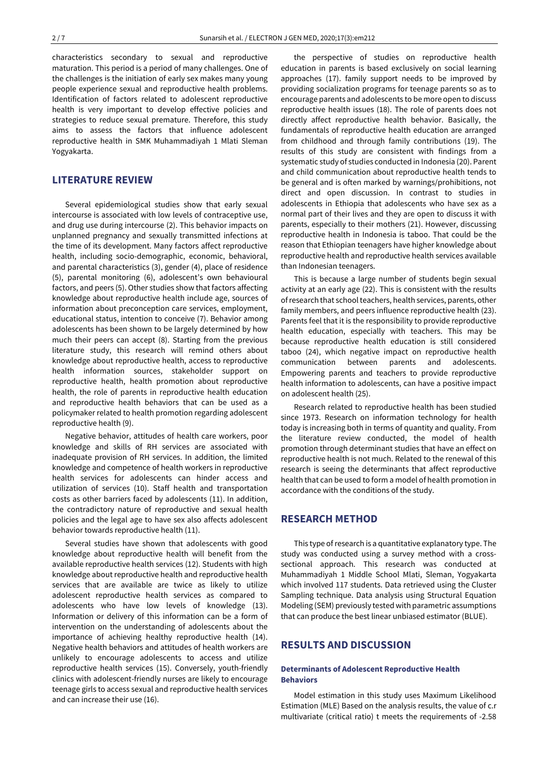characteristics secondary to sexual and reproductive maturation. This period is a period of many challenges. One of the challenges is the initiation of early sex makes many young people experience sexual and reproductive health problems. Identification of factors related to adolescent reproductive health is very important to develop effective policies and strategies to reduce sexual premature. Therefore, this study aims to assess the factors that influence adolescent reproductive health in SMK Muhammadiyah 1 Mlati Sleman Yogyakarta.

## **LITERATURE REVIEW**

Several epidemiological studies show that early sexual intercourse is associated with low levels of contraceptive use, and drug use during intercourse (2). This behavior impacts on unplanned pregnancy and sexually transmitted infections at the time of its development. Many factors affect reproductive health, including socio-demographic, economic, behavioral, and parental characteristics (3), gender (4), place of residence (5), parental monitoring (6), adolescent's own behavioural factors, and peers (5). Other studies show that factors affecting knowledge about reproductive health include age, sources of information about preconception care services, employment, educational status, intention to conceive (7). Behavior among adolescents has been shown to be largely determined by how much their peers can accept (8). Starting from the previous literature study, this research will remind others about knowledge about reproductive health, access to reproductive health information sources, stakeholder support on reproductive health, health promotion about reproductive health, the role of parents in reproductive health education and reproductive health behaviors that can be used as a policymaker related to health promotion regarding adolescent reproductive health (9).

Negative behavior, attitudes of health care workers, poor knowledge and skills of RH services are associated with inadequate provision of RH services. In addition, the limited knowledge and competence of health workers in reproductive health services for adolescents can hinder access and utilization of services (10). Staff health and transportation costs as other barriers faced by adolescents (11). In addition, the contradictory nature of reproductive and sexual health policies and the legal age to have sex also affects adolescent behavior towards reproductive health (11).

Several studies have shown that adolescents with good knowledge about reproductive health will benefit from the available reproductive health services (12). Students with high knowledge about reproductive health and reproductive health services that are available are twice as likely to utilize adolescent reproductive health services as compared to adolescents who have low levels of knowledge (13). Information or delivery of this information can be a form of intervention on the understanding of adolescents about the importance of achieving healthy reproductive health (14). Negative health behaviors and attitudes of health workers are unlikely to encourage adolescents to access and utilize reproductive health services (15). Conversely, youth-friendly clinics with adolescent-friendly nurses are likely to encourage teenage girls to access sexual and reproductive health services and can increase their use (16).

the perspective of studies on reproductive health education in parents is based exclusively on social learning approaches (17). family support needs to be improved by providing socialization programs for teenage parents so as to encourage parents and adolescents to be more open to discuss reproductive health issues (18). The role of parents does not directly affect reproductive health behavior. Basically, the fundamentals of reproductive health education are arranged from childhood and through family contributions (19). The results of this study are consistent with findings from a systematic study of studies conducted in Indonesia (20). Parent and child communication about reproductive health tends to be general and is often marked by warnings/prohibitions, not direct and open discussion. In contrast to studies in adolescents in Ethiopia that adolescents who have sex as a normal part of their lives and they are open to discuss it with parents, especially to their mothers (21). However, discussing reproductive health in Indonesia is taboo. That could be the reason that Ethiopian teenagers have higher knowledge about reproductive health and reproductive health services available than Indonesian teenagers.

This is because a large number of students begin sexual activity at an early age (22). This is consistent with the results of research that school teachers, health services, parents, other family members, and peers influence reproductive health (23). Parents feel that it is the responsibility to provide reproductive health education, especially with teachers. This may be because reproductive health education is still considered taboo (24), which negative impact on reproductive health communication between parents and adolescents. Empowering parents and teachers to provide reproductive health information to adolescents, can have a positive impact on adolescent health (25).

Research related to reproductive health has been studied since 1973. Research on information technology for health today is increasing both in terms of quantity and quality. From the literature review conducted, the model of health promotion through determinant studies that have an effect on reproductive health is not much. Related to the renewal of this research is seeing the determinants that affect reproductive health that can be used to form a model of health promotion in accordance with the conditions of the study.

### **RESEARCH METHOD**

This type ofresearch is a quantitative explanatory type. The study was conducted using a survey method with a crosssectional approach. This research was conducted at Muhammadiyah 1 Middle School Mlati, Sleman, Yogyakarta which involved 117 students. Data retrieved using the Cluster Sampling technique. Data analysis using Structural Equation Modeling (SEM) previously tested with parametric assumptions that can produce the best linear unbiased estimator (BLUE).

## **RESULTS AND DISCUSSION**

#### **Determinants of Adolescent Reproductive Health Behaviors**

Model estimation in this study uses Maximum Likelihood Estimation (MLE) Based on the analysis results, the value of c.r multivariate (critical ratio) t meets the requirements of -2.58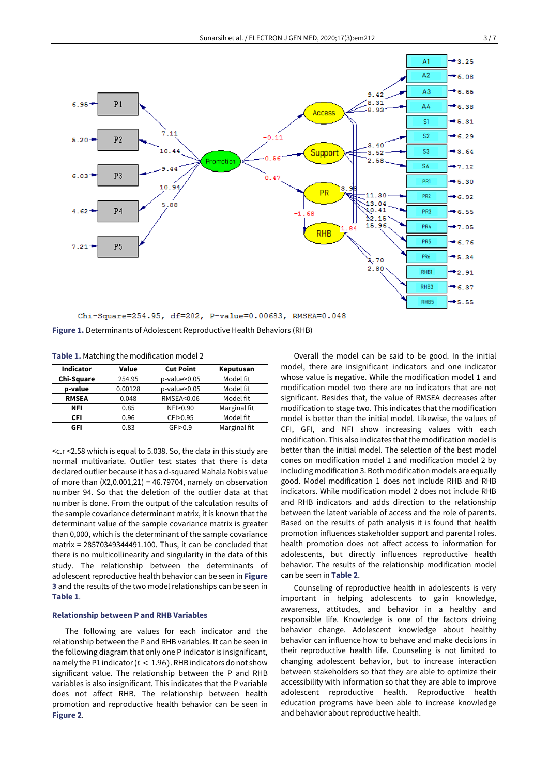

**Figure 1.** Determinants of Adolescent Reproductive Health Behaviors (RHB)

|  | Table 1. Matching the modification model 2 |  |  |  |
|--|--------------------------------------------|--|--|--|
|--|--------------------------------------------|--|--|--|

| <b>Indicator</b> | Value   | <b>Cut Point</b>  | Keputusan    |
|------------------|---------|-------------------|--------------|
| Chi-Square       | 254.95  | p-value>0.05      | Model fit    |
| p-value          | 0.00128 | p-value>0.05      | Model fit    |
| <b>RMSEA</b>     | 0.048   | RMSEA<0.06        | Model fit    |
| NFI              | 0.85    | NFI>0.90          | Marginal fit |
| CFI              | 0.96    | CFI>0.95          | Model fit    |
| GFI              | 0.83    | GF <sub>0.9</sub> | Marginal fit |
|                  |         |                   |              |

<c.r <2.58 which is equal to 5.038. So, the data in this study are normal multivariate. Outlier test states that there is data declared outlier because it has a d-squared Mahala Nobis value of more than  $(X2,0.001,21) = 46.79704$ , namely on observation number 94. So that the deletion of the outlier data at that number is done. From the output of the calculation results of the sample covariance determinant matrix, it is known that the determinant value of the sample covariance matrix is greater than 0,000, which is the determinant of the sample covariance matrix = 28570349344491.100. Thus, it can be concluded that there is no multicollinearity and singularity in the data of this study. The relationship between the determinants of adolescent reproductive health behavior can be seen in **Figure 3** and the results of the two model relationships can be seen in **Table 1**.

#### **Relationship between P and RHB Variables**

The following are values for each indicator and the relationship between the P and RHB variables. It can be seen in the following diagram that only one P indicator is insignificant, namely the P1 indicator ( $t < 1.96$ ). RHB indicators do not show significant value. The relationship between the P and RHB variables is also insignificant. This indicates that the P variable does not affect RHB. The relationship between health promotion and reproductive health behavior can be seen in **Figure 2**.

Overall the model can be said to be good. In the initial model, there are insignificant indicators and one indicator whose value is negative. While the modification model 1 and modification model two there are no indicators that are not significant. Besides that, the value of RMSEA decreases after modification to stage two. This indicates that the modification model is better than the initial model. Likewise, the values of CFI, GFI, and NFI show increasing values with each modification. This also indicates that the modification model is better than the initial model. The selection of the best model cones on modification model 1 and modification model 2 by including modification 3. Both modification models are equally good. Model modification 1 does not include RHB and RHB indicators. While modification model 2 does not include RHB and RHB indicators and adds direction to the relationship between the latent variable of access and the role of parents. Based on the results of path analysis it is found that health promotion influences stakeholder support and parental roles. health promotion does not affect access to information for adolescents, but directly influences reproductive health behavior. The results of the relationship modification model can be seen in **Table 2**.

Counseling of reproductive health in adolescents is very important in helping adolescents to gain knowledge, awareness, attitudes, and behavior in a healthy and responsible life. Knowledge is one of the factors driving behavior change. Adolescent knowledge about healthy behavior can influence how to behave and make decisions in their reproductive health life. Counseling is not limited to changing adolescent behavior, but to increase interaction between stakeholders so that they are able to optimize their accessibility with information so that they are able to improve adolescent reproductive health. Reproductive health education programs have been able to increase knowledge and behavior about reproductive health.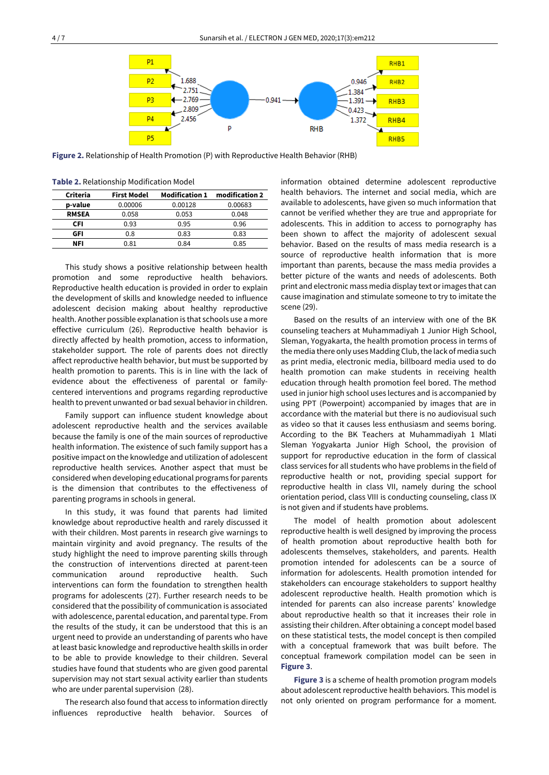

**Figure 2.** Relationship of Health Promotion (P) with Reproductive Health Behavior (RHB)

**Table 2.** Relationship Modification Model

| Criteria     | <b>First Model</b> | <b>Modification 1</b> | modification 2 |
|--------------|--------------------|-----------------------|----------------|
| p-value      | 0.00006            | 0.00128               | 0.00683        |
| <b>RMSEA</b> | 0.058              | 0.053                 | 0.048          |
| CFI          | 0.93               | 0.95                  | 0.96           |
| GFI          | 0.8                | 0.83                  | 0.83           |
| NFI          | 0.81               | 0.84                  | 0.85           |

This study shows a positive relationship between health promotion and some reproductive health behaviors. Reproductive health education is provided in order to explain the development of skills and knowledge needed to influence adolescent decision making about healthy reproductive health. Another possible explanation is that schools use a more effective curriculum (26). Reproductive health behavior is directly affected by health promotion, access to information, stakeholder support. The role of parents does not directly affect reproductive health behavior, but must be supported by health promotion to parents. This is in line with the lack of evidence about the effectiveness of parental or familycentered interventions and programs regarding reproductive health to prevent unwanted or bad sexual behavior in children.

Family support can influence student knowledge about adolescent reproductive health and the services available because the family is one of the main sources of reproductive health information. The existence of such family support has a positive impact on the knowledge and utilization of adolescent reproductive health services. Another aspect that must be considered when developing educational programs for parents is the dimension that contributes to the effectiveness of parenting programs in schools in general.

In this study, it was found that parents had limited knowledge about reproductive health and rarely discussed it with their children. Most parents in research give warnings to maintain virginity and avoid pregnancy. The results of the study highlight the need to improve parenting skills through the construction of interventions directed at parent-teen communication around reproductive health. Such interventions can form the foundation to strengthen health programs for adolescents (27). Further research needs to be considered that the possibility of communication is associated with adolescence, parental education, and parental type. From the results of the study, it can be understood that this is an urgent need to provide an understanding of parents who have at least basic knowledge and reproductive health skills in order to be able to provide knowledge to their children. Several studies have found that students who are given good parental supervision may not start sexual activity earlier than students who are under parental supervision (28).

The research also found that access to information directly influences reproductive health behavior. Sources of information obtained determine adolescent reproductive health behaviors. The internet and social media, which are available to adolescents, have given so much information that cannot be verified whether they are true and appropriate for adolescents. This in addition to access to pornography has been shown to affect the majority of adolescent sexual behavior. Based on the results of mass media research is a source of reproductive health information that is more important than parents, because the mass media provides a better picture of the wants and needs of adolescents. Both print and electronic mass media display text orimages that can cause imagination and stimulate someone to try to imitate the scene (29).

Based on the results of an interview with one of the BK counseling teachers at Muhammadiyah 1 Junior High School, Sleman, Yogyakarta, the health promotion process in terms of the media there only uses Madding Club, the lack of media such as print media, electronic media, billboard media used to do health promotion can make students in receiving health education through health promotion feel bored. The method used in junior high school uses lectures and is accompanied by using PPT (Powerpoint) accompanied by images that are in accordance with the material but there is no audiovisual such as video so that it causes less enthusiasm and seems boring. According to the BK Teachers at Muhammadiyah 1 Mlati Sleman Yogyakarta Junior High School, the provision of support for reproductive education in the form of classical class services for all students who have problems in the field of reproductive health or not, providing special support for reproductive health in class VII, namely during the school orientation period, class VIII is conducting counseling, class IX is not given and if students have problems.

The model of health promotion about adolescent reproductive health is well designed by improving the process of health promotion about reproductive health both for adolescents themselves, stakeholders, and parents. Health promotion intended for adolescents can be a source of information for adolescents. Health promotion intended for stakeholders can encourage stakeholders to support healthy adolescent reproductive health. Health promotion which is intended for parents can also increase parents' knowledge about reproductive health so that it increases their role in assisting their children. After obtaining a concept model based on these statistical tests, the model concept is then compiled with a conceptual framework that was built before. The conceptual framework compilation model can be seen in **Figure 3**.

**Figure 3** is a scheme of health promotion program models about adolescent reproductive health behaviors. This model is not only oriented on program performance for a moment.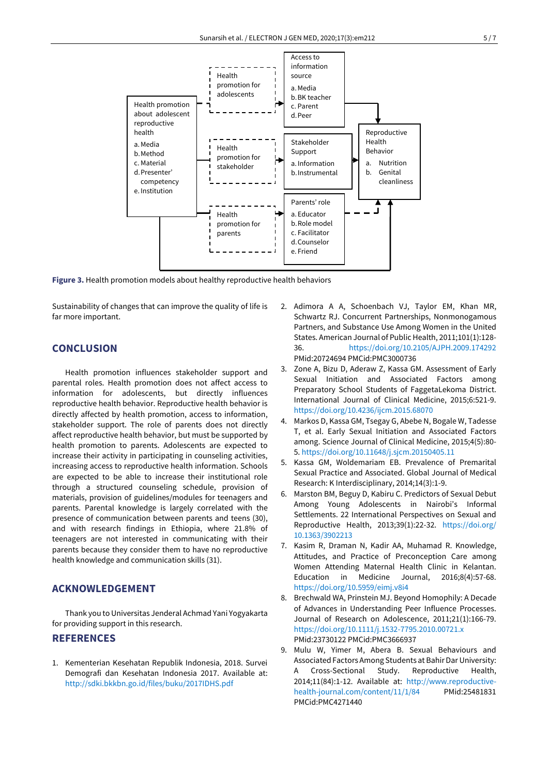

**Figure 3.** Health promotion models about healthy reproductive health behaviors

Sustainability of changes that can improve the quality of life is far more important.

## **CONCLUSION**

Health promotion influences stakeholder support and parental roles. Health promotion does not affect access to information for adolescents, but directly influences reproductive health behavior. Reproductive health behavior is directly affected by health promotion, access to information, stakeholder support. The role of parents does not directly affect reproductive health behavior, but must be supported by health promotion to parents. Adolescents are expected to increase their activity in participating in counseling activities, increasing access to reproductive health information. Schools are expected to be able to increase their institutional role through a structured counseling schedule, provision of materials, provision of guidelines/modules for teenagers and parents. Parental knowledge is largely correlated with the presence of communication between parents and teens (30), and with research findings in Ethiopia, where 21.8% of teenagers are not interested in communicating with their parents because they consider them to have no reproductive health knowledge and communication skills (31).

## **ACKNOWLEDGEMENT**

Thank you to Universitas Jenderal Achmad Yani Yogyakarta for providing support in this research.

# **REFERENCES**

1. Kementerian Kesehatan Republik Indonesia, 2018. Survei Demografi dan Kesehatan Indonesia 2017. Available at: <http://sdki.bkkbn.go.id/files/buku/2017IDHS.pdf>

- 2. Adimora A A, Schoenbach VJ, Taylor EM, Khan MR, Schwartz RJ. Concurrent Partnerships, Nonmonogamous Partners, and Substance Use Among Women in the United States. American Journal of Public Health, 2011;101(1):128-36. <https://doi.org/10.2105/AJPH.2009.174292> PMid:20724694 PMCid:PMC3000736
- 3. Zone A, Bizu D, Aderaw Z, Kassa GM. Assessment of Early Sexual Initiation and Associated Factors among Preparatory School Students of FaggetaLekoma District. International Journal of Clinical Medicine, 2015;6:521-9. <https://doi.org/10.4236/ijcm.2015.68070>
- 4. Markos D, Kassa GM, Tsegay G, Abebe N, Bogale W, Tadesse T, et al. Early Sexual Initiation and Associated Factors among. Science Journal of Clinical Medicine, 2015;4(5):80- 5. <https://doi.org/10.11648/j.sjcm.20150405.11>
- 5. Kassa GM, Woldemariam EB. Prevalence of Premarital Sexual Practice and Associated. Global Journal of Medical Research: K Interdisciplinary, 2014;14(3):1-9.
- 6. Marston BM, Beguy D, Kabiru C. Predictors of Sexual Debut Among Young Adolescents in Nairobi's Informal Settlements. 22 International Perspectives on Sexual and Reproductive Health, 2013;39(1):22-32. [https://doi.org/](https://doi.org/10.1363/3902213) [10.1363/3902213](https://doi.org/10.1363/3902213)
- 7. Kasim R, Draman N, Kadir AA, Muhamad R. Knowledge, Attitudes, and Practice of Preconception Care among Women Attending Maternal Health Clinic in Kelantan. Education in Medicine Journal, 2016;8(4):57-68. <https://doi.org/10.5959/eimj.v8i4>
- 8. Brechwald WA, Prinstein MJ. Beyond Homophily: A Decade of Advances in Understanding Peer Influence Processes. Journal of Research on Adolescence, 2011;21(1):166-79. <https://doi.org/10.1111/j.1532-7795.2010.00721.x> PMid:23730122 PMCid:PMC3666937
- 9. Mulu W, Yimer M, Abera B. Sexual Behaviours and Associated Factors Among Students at Bahir Dar University: Cross-Sectional Study. Reproductive Health, 2014;11(84):1-12. Available at: [http://www.reproductive](http://www.reproductive-health-journal.com/content/11/1/84)[health-journal.com/content/11/1/84](http://www.reproductive-health-journal.com/content/11/1/84) PMid:25481831 PMCid:PMC4271440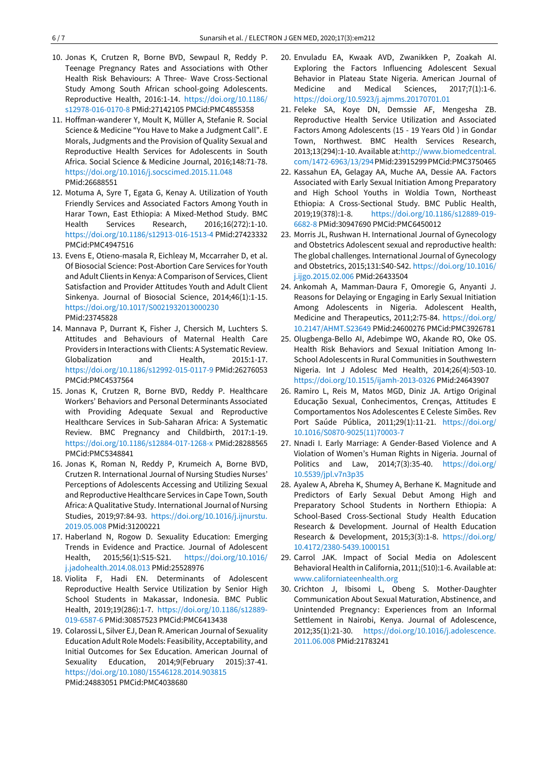- 10. Jonas K, Crutzen R, Borne BVD, Sewpaul R, Reddy P. Teenage Pregnancy Rates and Associations with Other Health Risk Behaviours: A Three- Wave Cross-Sectional Study Among South African school-going Adolescents. Reproductive Health, 2016:1-14. [https://doi.org/10.1186/](https://doi.org/10.1186/s12978-016-0170-8) [s12978-016-0170-8](https://doi.org/10.1186/s12978-016-0170-8) PMid:27142105 PMCid:PMC4855358
- 11. Hoffman-wanderer Y, Moult K, Müller A, Stefanie R. Social Science & Medicine "You Have to Make a Judgment Call". E Morals, Judgments and the Provision of Quality Sexual and Reproductive Health Services for Adolescents in South Africa. Social Science & Medicine Journal, 2016;148:71-78. <https://doi.org/10.1016/j.socscimed.2015.11.048> PMid:26688551
- 12. Motuma A, Syre T, Egata G, Kenay A. Utilization of Youth Friendly Services and Associated Factors Among Youth in Harar Town, East Ethiopia: A Mixed-Method Study. BMC Health Services Research, 2016;16(272):1-10. <https://doi.org/10.1186/s12913-016-1513-4> PMid:27423332 PMCid:PMC4947516
- 13. Evens E, Otieno-masala R, Eichleay M, Mccarraher D, et al. Of Biosocial Science: Post-Abortion Care Services for Youth and Adult Clients in Kenya: A Comparison of Services, Client Satisfaction and Provider Attitudes Youth and Adult Client Sinkenya. Journal of Biosocial Science, 2014;46(1):1-15. <https://doi.org/10.1017/S0021932013000230> PMid:23745828
- 14. Mannava P, Durrant K, Fisher J, Chersich M, Luchters S. Attitudes and Behaviours of Maternal Health Care Providers in Interactions with Clients: A Systematic Review. Globalization and Health, 2015:1-17. <https://doi.org/10.1186/s12992-015-0117-9> PMid:26276053 PMCid:PMC4537564
- 15. Jonas K, Crutzen R, Borne BVD, Reddy P. Healthcare Workers' Behaviors and Personal Determinants Associated with Providing Adequate Sexual and Reproductive Healthcare Services in Sub-Saharan Africa: A Systematic Review. BMC Pregnancy and Childbirth, 2017:1-19. <https://doi.org/10.1186/s12884-017-1268-x> PMid:28288565 PMCid:PMC5348841
- 16. Jonas K, Roman N, Reddy P, Krumeich A, Borne BVD, Crutzen R. International Journal of Nursing Studies Nurses' Perceptions of Adolescents Accessing and Utilizing Sexual and Reproductive Healthcare Services in Cape Town, South Africa: A Qualitative Study. International Journal of Nursing Studies, 2019;97:84-93. [https://doi.org/10.1016/j.ijnurstu.](https://doi.org/10.1016/j.ijnurstu.2019.05.008) [2019.05.008](https://doi.org/10.1016/j.ijnurstu.2019.05.008) PMid:31200221
- 17. Haberland N, Rogow D. Sexuality Education: Emerging Trends in Evidence and Practice. Journal of Adolescent Health, 2015;56(1):S15-S21. [https://doi.org/10.1016/](https://doi.org/10.1016/j.jadohealth.2014.08.013) [j.jadohealth.2014.08.013](https://doi.org/10.1016/j.jadohealth.2014.08.013) PMid:25528976
- 18. Violita F, Hadi EN. Determinants of Adolescent Reproductive Health Service Utilization by Senior High School Students in Makassar, Indonesia. BMC Public Health, 2019;19(286):1-7. [https://doi.org/10.1186/s12889-](https://doi.org/10.1186/s12889-019-6587-6) [019-6587-6](https://doi.org/10.1186/s12889-019-6587-6) PMid:30857523 PMCid:PMC6413438
- 19. Colarossi L, Silver EJ, Dean R. American Journal of Sexuality Education Adult Role Models: Feasibility, Acceptability, and Initial Outcomes for Sex Education. American Journal of Sexuality Education, 2014;9(February 2015):37-41. <https://doi.org/10.1080/15546128.2014.903815> PMid:24883051 PMCid:PMC4038680
- 20. Envuladu EA, Kwaak AVD, Zwanikken P, Zoakah AI. Exploring the Factors Influencing Adolescent Sexual Behavior in Plateau State Nigeria. American Journal of Medicine and Medical Sciences, 2017;7(1):1-6. <https://doi.org/10.5923/j.ajmms.20170701.01>
- 21. Feleke SA, Koye DN, Demssie AF, Mengesha ZB. Reproductive Health Service Utilization and Associated Factors Among Adolescents (15 - 19 Years Old ) in Gondar Town, Northwest. BMC Health Services Research, 2013;13(294):1-10. Available at[:http://www.biomedcentral.](http://www.biomedcentral.com/1472-6963/13/294) [com/1472-6963/13/294P](http://www.biomedcentral.com/1472-6963/13/294)Mid:23915299PMCid:PMC3750465
- 22. Kassahun EA, Gelagay AA, Muche AA, Dessie AA. Factors Associated with Early Sexual Initiation Among Preparatory and High School Youths in Woldia Town, Northeast Ethiopia: A Cross-Sectional Study. BMC Public Health, 2019;19(378):1-8. [https://doi.org/10.1186/s12889-019-](https://doi.org/10.1186/s12889-019-6682-8) [6682-8](https://doi.org/10.1186/s12889-019-6682-8) PMid:30947690 PMCid:PMC6450012
- 23. Morris JL, Rushwan H. International Journal of Gynecology and Obstetrics Adolescent sexual and reproductive health: The global challenges. International Journal of Gynecology and Obstetrics, 2015;131:S40-S42. [https://doi.org/10.1016/](https://doi.org/10.1016/j.ijgo.2015.02.006) [j.ijgo.2015.02.006](https://doi.org/10.1016/j.ijgo.2015.02.006) PMid:26433504
- 24. Ankomah A, Mamman-Daura F, Omoregie G, Anyanti J. Reasons for Delaying or Engaging in Early Sexual Initiation Among Adolescents in Nigeria. Adolescent Health, Medicine and Therapeutics, 2011;2:75-84. [https://doi.org/](https://doi.org/10.2147/AHMT.S23649) [10.2147/AHMT.S23649](https://doi.org/10.2147/AHMT.S23649) PMid:24600276 PMCid:PMC3926781
- 25. Olugbenga-Bello AI, Adebimpe WO, Akande RO, Oke OS. Health Risk Behaviors and Sexual Initiation Among In-School Adolescents in Rural Communities in Southwestern Nigeria. Int J Adolesc Med Health, 2014;26(4):503-10. <https://doi.org/10.1515/ijamh-2013-0326> PMid:24643907
- 26. Ramiro L, Reis M, Matos MGD, Diniz JA. Artigo Original Educação Sexual, Conhecimentos, Crenças, Attitudes E Comportamentos Nos Adolescentes E Celeste Simões. Rev Port Saúde Pública, 2011;29(1):11-21. [https://doi.org/](https://doi.org/10.1016/S0870-9025(11)70003-7) [10.1016/S0870-9025\(11\)70003-7](https://doi.org/10.1016/S0870-9025(11)70003-7)
- 27. Nnadi I. Early Marriage: A Gender-Based Violence and A Violation of Women's Human Rights in Nigeria. Journal of Politics and Law, 2014;7(3):35-40. [https://doi.org/](https://doi.org/10.5539/jpl.v7n3p35) [10.5539/jpl.v7n3p35](https://doi.org/10.5539/jpl.v7n3p35)
- 28. Ayalew A, Abreha K, Shumey A, Berhane K. Magnitude and Predictors of Early Sexual Debut Among High and Preparatory School Students in Northern Ethiopia: A School-Based Cross-Sectional Study Health Education Research & Development. Journal of Health Education Research & Development, 2015;3(3):1-8. [https://doi.org/](https://doi.org/10.4172/2380-5439.1000151) [10.4172/2380-5439.1000151](https://doi.org/10.4172/2380-5439.1000151)
- 29. Carrol JAK. Impact of Social Media on Adolescent Behavioral Health in California, 2011;(510):1-6. Available at: [www.californiateenhealth.org](http://www.californiateenhealth.org/)
- 30. Crichton J, Ibisomi L, Obeng S. Mother-Daughter Communication About Sexual Maturation, Abstinence, and Unintended Pregnancy : Experiences from an Informal Settlement in Nairobi, Kenya. Journal of Adolescence, 2012;35(1):21-30. [https://doi.org/10.1016/j.adolescence.](https://doi.org/10.1016/j.adolescence.2011.06.008) [2011.06.008](https://doi.org/10.1016/j.adolescence.2011.06.008) PMid:21783241